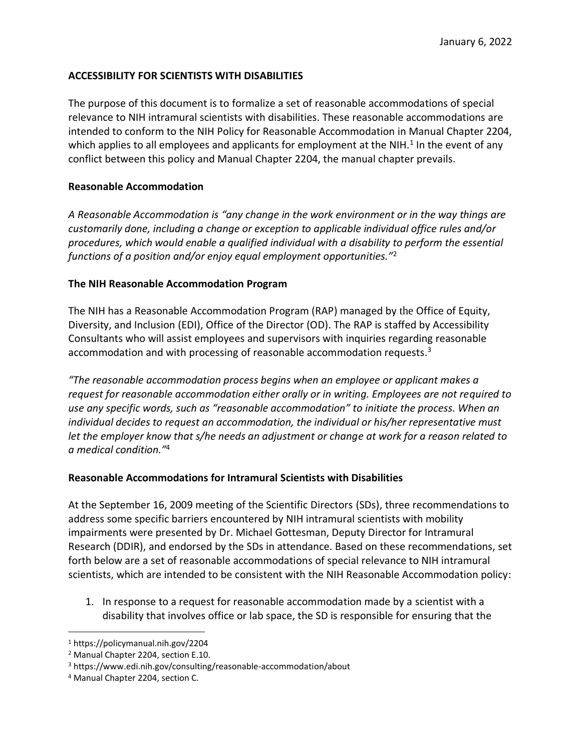## **ACCESSIBILITY FOR SCIENTISTS WITH DISABILITIES**

The purpose of this document is to formalize a set of reasonable accommodations of special relevance to NIH intramural scientists with disabilities. These reasonable accommodations are intended to conform to the NIH Policy for Reasonable Accommodation in Manual Chapter 2204, which applies to all employees and applicants for employment at the NIH.<sup>1</sup> In the event of any conflict between this policy and Manual Chapter 2204, the manual chapter prevails.

## **Reasonable Accommodation**

*A Reasonable Accommodation is "any change in the work environment or in the way things are customarily done, including a change or exception to applicable individual office rules and/or procedures, which would enable a qualified individual with a disability to perform the essential functions of a position and/or enjoy equal employment opportunities."*<sup>2</sup>

## **The NIH Reasonable Accommodation Program**

The NIH has a Reasonable Accommodation Program (RAP) managed by the Office of Equity, Diversity, and Inclusion (EDI), Office of the Director (OD). The RAP is staffed by Accessibility Consultants who will assist employees and supervisors with inquiries regarding reasonable accommodation and with processing of reasonable accommodation requests. 3

*"The reasonable accommodation process begins when an employee or applicant makes a request for reasonable accommodation either orally or in writing. Employees are not required to use any specific words, such as "reasonable accommodation" to initiate the process. When an individual decides to request an accommodation, the individual or his/her representative must let the employer know that s/he needs an adjustment or change at work for a reason related to a medical condition."*<sup>4</sup>

## **Reasonable Accommodations for Intramural Scientists with Disabilities**

At the September 16, 2009 meeting of the Scientific Directors (SDs), three recommendations to address some specific barriers encountered by NIH intramural scientists with mobility impairments were presented by Dr. Michael Gottesman, Deputy Director for Intramural Research (DDIR), and endorsed by the SDs in attendance. Based on these recommendations, set forth below are a set of reasonable accommodations of special relevance to NIH intramural scientists, which are intended to be consistent with the NIH Reasonable Accommodation policy:

1. In response to a request for reasonable accommodation made by a scientist with a disability that involves office or lab space, the SD is responsible for ensuring that the

<sup>1</sup> https://policymanual.nih.gov/2204

<sup>2</sup> Manual Chapter 2204, section E.10.

<sup>3</sup> https://www.edi.nih.gov/consulting/reasonable-accommodation/about

<sup>4</sup> Manual Chapter 2204, section C.